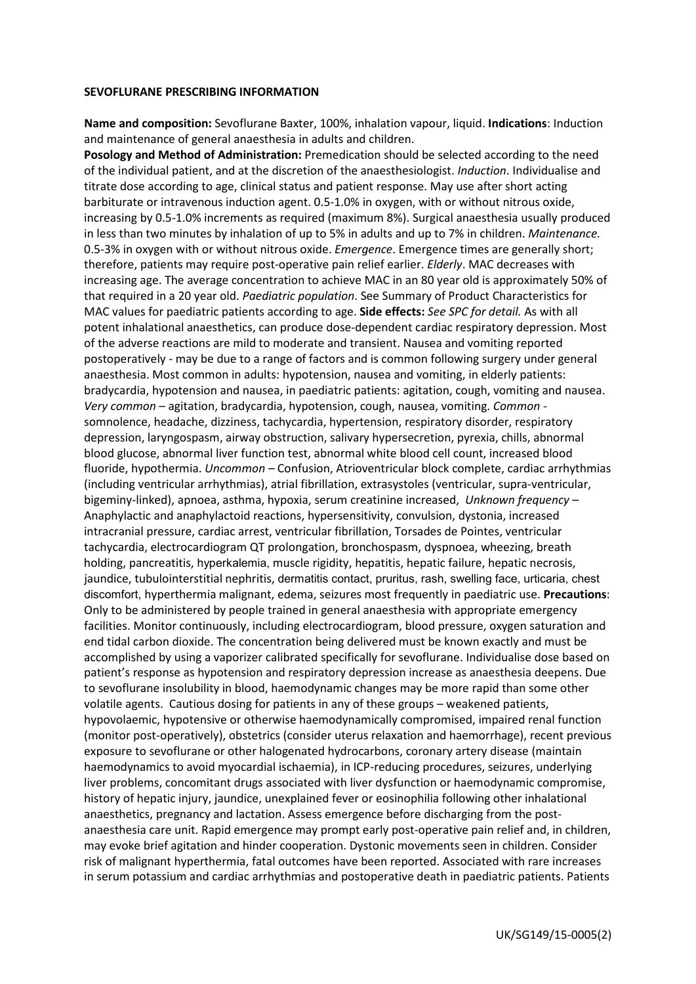## **SEVOFLURANE PRESCRIBING INFORMATION**

**Name and composition:** Sevoflurane Baxter, 100%, inhalation vapour, liquid. **Indications**: Induction and maintenance of general anaesthesia in adults and children.

**Posology and Method of Administration:** Premedication should be selected according to the need of the individual patient, and at the discretion of the anaesthesiologist. *Induction*. Individualise and titrate dose according to age, clinical status and patient response. May use after short acting barbiturate or intravenous induction agent. 0.5-1.0% in oxygen, with or without nitrous oxide, increasing by 0.5-1.0% increments as required (maximum 8%). Surgical anaesthesia usually produced in less than two minutes by inhalation of up to 5% in adults and up to 7% in children. *Maintenance.*  0.5-3% in oxygen with or without nitrous oxide. *Emergence*. Emergence times are generally short; therefore, patients may require post-operative pain relief earlier. *Elderly*. MAC decreases with increasing age. The average concentration to achieve MAC in an 80 year old is approximately 50% of that required in a 20 year old. *Paediatric population*. See Summary of Product Characteristics for MAC values for paediatric patients according to age. **Side effects:** *See SPC for detail.* As with all potent inhalational anaesthetics, can produce dose-dependent cardiac respiratory depression. Most of the adverse reactions are mild to moderate and transient. Nausea and vomiting reported postoperatively - may be due to a range of factors and is common following surgery under general anaesthesia. Most common in adults: hypotension, nausea and vomiting, in elderly patients: bradycardia, hypotension and nausea, in paediatric patients: agitation, cough, vomiting and nausea. *Very common* – agitation, bradycardia, hypotension, cough, nausea, vomiting. *Common*  somnolence, headache, dizziness, tachycardia, hypertension, respiratory disorder, respiratory depression, laryngospasm, airway obstruction, salivary hypersecretion, pyrexia, chills, abnormal blood glucose, abnormal liver function test, abnormal white blood cell count, increased blood fluoride, hypothermia. *Uncommon –* Confusion, Atrioventricular block complete, cardiac arrhythmias (including ventricular arrhythmias), atrial fibrillation, extrasystoles (ventricular, supra-ventricular, bigeminy-linked), apnoea, asthma, hypoxia, serum creatinine increased, *Unknown frequency* – Anaphylactic and anaphylactoid reactions, hypersensitivity, convulsion, dystonia, increased intracranial pressure, cardiac arrest, ventricular fibrillation, Torsades de Pointes, ventricular tachycardia, electrocardiogram QT prolongation, bronchospasm, dyspnoea, wheezing, breath holding, pancreatitis, hyperkalemia, muscle rigidity, hepatitis, hepatic failure, hepatic necrosis, jaundice, tubulointerstitial nephritis, dermatitis contact, pruritus, rash, swelling face, urticaria, chest discomfort, hyperthermia malignant, edema, seizures most frequently in paediatric use. **Precautions**: Only to be administered by people trained in general anaesthesia with appropriate emergency facilities. Monitor continuously, including electrocardiogram, blood pressure, oxygen saturation and end tidal carbon dioxide. The concentration being delivered must be known exactly and must be accomplished by using a vaporizer calibrated specifically for sevoflurane. Individualise dose based on patient's response as hypotension and respiratory depression increase as anaesthesia deepens. Due to sevoflurane insolubility in blood, haemodynamic changes may be more rapid than some other volatile agents. Cautious dosing for patients in any of these groups – weakened patients, hypovolaemic, hypotensive or otherwise haemodynamically compromised, impaired renal function (monitor post-operatively), obstetrics (consider uterus relaxation and haemorrhage), recent previous exposure to sevoflurane or other halogenated hydrocarbons, coronary artery disease (maintain haemodynamics to avoid myocardial ischaemia), in ICP-reducing procedures, seizures, underlying liver problems, concomitant drugs associated with liver dysfunction or haemodynamic compromise, history of hepatic injury, jaundice, unexplained fever or eosinophilia following other inhalational anaesthetics, pregnancy and lactation. Assess emergence before discharging from the postanaesthesia care unit. Rapid emergence may prompt early post-operative pain relief and, in children, may evoke brief agitation and hinder cooperation. Dystonic movements seen in children. Consider risk of malignant hyperthermia, fatal outcomes have been reported. Associated with rare increases in serum potassium and cardiac arrhythmias and postoperative death in paediatric patients. Patients